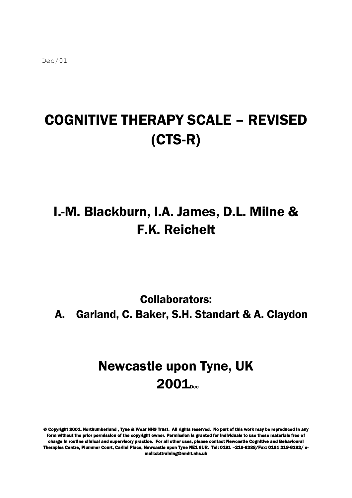# COGNITIVE THERAPY SCALE – REVISED (CTS-R)

### I.-M. Blackburn, I.A. James, D.L. Milne & F.K. Reichelt

Collaborators: A. Garland, C. Baker, S.H. Standart & A. Claydon

## Newcastle upon Tyne, UK  $2001<sub>per</sub>$

© Copyright 2001. Northumberland , Tyne & Wear NHS Trust. All rights reserved. No part of this work may be reproduced in any form without the prior permission of the copyright owner. Permission is granted for individuals to use these materials free of charge in routine clinical and supervisory practice. For all other uses, please contact Newcastle Cognitive and Behavioural Therapies Centre, Plummer Court, Carliol Place, Newcastle upon Tyne NE1 6UR. Tel: 0191 –219-6288/Fax: 0191 219-6282/ email:cbttraining@nmht.nhs.uk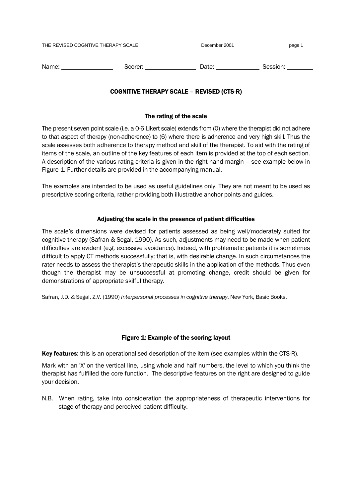| THE REVISED COGNTIVE THERAPY SCALE |         | December 2001 | page 1   |
|------------------------------------|---------|---------------|----------|
| Name:                              | Scorer: | Date:         | Session: |

#### COGNITIVE THERAPY SCALE – REVISED (CTS-R)

#### The rating of the scale

The present seven point scale (i.e. a 0-6 Likert scale) extends from (0) where the therapist did not adhere to that aspect of therapy (non-adherence) to (6) where there is adherence and very high skill. Thus the scale assesses both adherence to therapy method and skill of the therapist. To aid with the rating of items of the scale, an outline of the key features of each item is provided at the top of each section. A description of the various rating criteria is given in the right hand margin – see example below in Figure 1. Further details are provided in the accompanying manual.

The examples are intended to be used as useful guidelines only. They are not meant to be used as prescriptive scoring criteria, rather providing both illustrative anchor points and guides.

#### Adjusting the scale in the presence of patient difficulties

The scale's dimensions were devised for patients assessed as being well/moderately suited for cognitive therapy (Safran & Segal, 1990). As such, adjustments may need to be made when patient difficulties are evident (e.g. excessive avoidance). Indeed, with problematic patients it is sometimes difficult to apply CT methods successfully; that is, with desirable change. In such circumstances the rater needs to assess the therapist's therapeutic skills in the application of the methods. Thus even though the therapist may be unsuccessful at promoting change, credit should be given for demonstrations of appropriate skilful therapy.

Safran, J.D. & Segal, Z.V. (1990) *Interpersonal processes in cognitive therapy*. New York, Basic Books.

#### Figure 1: Example of the scoring layout

Key features: this is an operationalised description of the item (see examples within the CTS-R).

Mark with an 'X' on the vertical line, using whole and half numbers, the level to which you think the therapist has fulfilled the core function. The descriptive features on the right are designed to guide your decision.

N.B. When rating, take into consideration the appropriateness of therapeutic interventions for stage of therapy and perceived patient difficulty.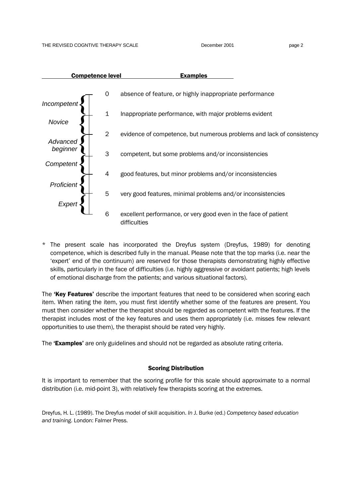

\* The present scale has incorporated the Dreyfus system (Dreyfus, 1989) for denoting competence, which is described fully in the manual. Please note that the top marks (i.e. near the 'expert' end of the continuum) are reserved for those therapists demonstrating highly effective skills, particularly in the face of difficulties (i.e. highly aggressive or avoidant patients; high levels of emotional discharge from the patients; and various situational factors).

The 'Key Features' describe the important features that need to be considered when scoring each item. When rating the item, you must first identify whether some of the features are present. You must then consider whether the therapist should be regarded as competent with the features. If the therapist includes most of the key features and uses them appropriately (i.e. misses few relevant opportunities to use them), the therapist should be rated very highly.

The **'Examples'** are only guidelines and should not be regarded as absolute rating criteria.

#### Scoring Distribution

It is important to remember that the scoring profile for this scale should approximate to a normal distribution (i.e. mid-point 3), with relatively few therapists scoring at the extremes.

Dreyfus, H. L. (1989). The Dreyfus model of skill acquisition. *In* J. Burke (ed.) *Competency based education and training.* London: Falmer Press.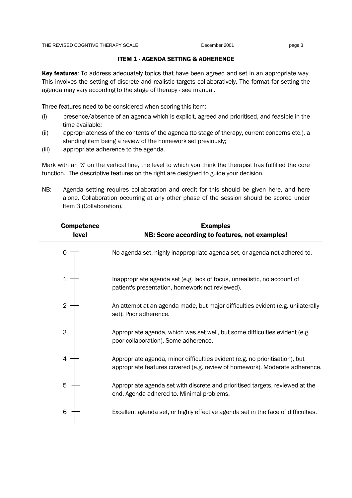#### ITEM 1 - AGENDA SETTING & ADHERENCE

**Key features:** To address adequately topics that have been agreed and set in an appropriate way. This involves the setting of discrete and realistic targets collaboratively. The format for setting the agenda may vary according to the stage of therapy - see manual.

Three features need to be considered when scoring this item:

- (i) presence/absence of an agenda which is explicit, agreed and prioritised, and feasible in the time available;
- (ii) appropriateness of the contents of the agenda (to stage of therapy, current concerns etc.), a standing item being a review of the homework set previously;
- (iii) appropriate adherence to the agenda.

Mark with an 'X' on the vertical line, the level to which you think the therapist has fulfilled the core function. The descriptive features on the right are designed to guide your decision.

NB: Agenda setting requires collaboration and credit for this should be given here, and here alone. Collaboration occurring at any other phase of the session should be scored under Item 3 (Collaboration).

| <b>Competence</b><br>level | <b>Examples</b><br>NB: Score according to features, not examples!                                                                                           |
|----------------------------|-------------------------------------------------------------------------------------------------------------------------------------------------------------|
|                            | No agenda set, highly inappropriate agenda set, or agenda not adhered to.                                                                                   |
| 1                          | Inappropriate agenda set (e.g. lack of focus, unrealistic, no account of<br>patient's presentation, homework not reviewed).                                 |
| $\overline{2}$             | An attempt at an agenda made, but major difficulties evident (e.g. unilaterally<br>set). Poor adherence.                                                    |
| 3                          | Appropriate agenda, which was set well, but some difficulties evident (e.g.<br>poor collaboration). Some adherence.                                         |
| 4                          | Appropriate agenda, minor difficulties evident (e.g. no prioritisation), but<br>appropriate features covered (e.g. review of homework). Moderate adherence. |
| 5                          | Appropriate agenda set with discrete and prioritised targets, reviewed at the<br>end. Agenda adhered to. Minimal problems.                                  |
| 6                          | Excellent agenda set, or highly effective agenda set in the face of difficulties.                                                                           |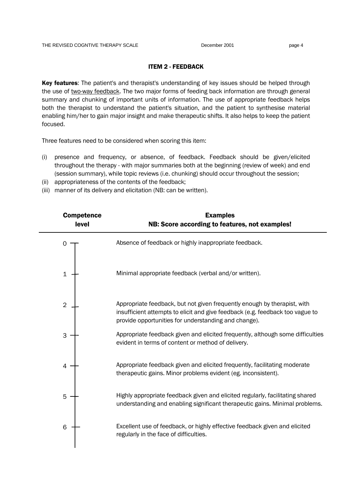#### ITEM 2 - FEEDBACK

Key features: The patient's and therapist's understanding of key issues should be helped through the use of two-way feedback. The two major forms of feeding back information are through general summary and chunking of important units of information. The use of appropriate feedback helps both the therapist to understand the patient's situation, and the patient to synthesise material enabling him/her to gain major insight and make therapeutic shifts. It also helps to keep the patient focused.

Three features need to be considered when scoring this item:

- (i) presence and frequency, or absence, of feedback. Feedback should be given/elicited throughout the therapy - with major summaries both at the beginning (review of week) and end (session summary), while topic reviews (i.e. chunking) should occur throughout the session;
- (ii) appropriateness of the contents of the feedback;
- (iii) manner of its delivery and elicitation (NB: can be written).

|                | <b>Competence</b><br>level | <b>Examples</b><br>NB: Score according to features, not examples!                                                                                                                                                 |
|----------------|----------------------------|-------------------------------------------------------------------------------------------------------------------------------------------------------------------------------------------------------------------|
|                |                            | Absence of feedback or highly inappropriate feedback.                                                                                                                                                             |
| 1              |                            | Minimal appropriate feedback (verbal and/or written).                                                                                                                                                             |
| $\overline{2}$ |                            | Appropriate feedback, but not given frequently enough by therapist, with<br>insufficient attempts to elicit and give feedback (e.g. feedback too vague to<br>provide opportunities for understanding and change). |
| 3              |                            | Appropriate feedback given and elicited frequently, although some difficulties<br>evident in terms of content or method of delivery.                                                                              |
| 4              |                            | Appropriate feedback given and elicited frequently, facilitating moderate<br>therapeutic gains. Minor problems evident (eg. inconsistent).                                                                        |
| 5              |                            | Highly appropriate feedback given and elicited regularly, facilitating shared<br>understanding and enabling significant therapeutic gains. Minimal problems.                                                      |
| 6              |                            | Excellent use of feedback, or highly effective feedback given and elicited<br>regularly in the face of difficulties.                                                                                              |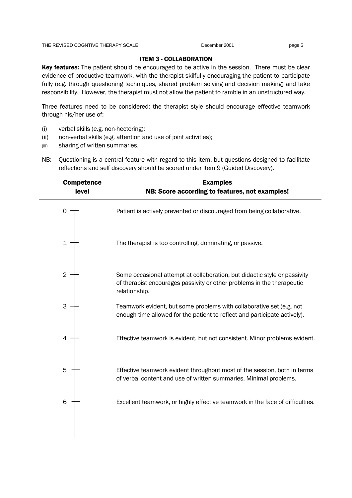#### ITEM 3 - COLLABORATION

Key features: The patient should be encouraged to be active in the session. There must be clear evidence of productive teamwork, with the therapist skilfully encouraging the patient to participate fully (e.g. through questioning techniques, shared problem solving and decision making) and take responsibility. However, the therapist must not allow the patient to ramble in an unstructured way.

Three features need to be considered: the therapist style should encourage effective teamwork through his/her use of:

- (i) verbal skills (e.g. non-hectoring);
- (ii) non-verbal skills (e.g. attention and use of joint activities);
- (iii) sharing of written summaries.
- NB: Questioning is a central feature with regard to this item, but questions designed to facilitate reflections and self discovery should be scored under Item 9 (Guided Discovery).

| <b>Competence</b><br>level | <b>Examples</b><br>NB: Score according to features, not examples!                                                                                                    |
|----------------------------|----------------------------------------------------------------------------------------------------------------------------------------------------------------------|
| 0                          | Patient is actively prevented or discouraged from being collaborative.                                                                                               |
| 1                          | The therapist is too controlling, dominating, or passive.                                                                                                            |
| $\overline{2}$             | Some occasional attempt at collaboration, but didactic style or passivity<br>of therapist encourages passivity or other problems in the therapeutic<br>relationship. |
| 3                          | Teamwork evident, but some problems with collaborative set (e.g. not<br>enough time allowed for the patient to reflect and participate actively).                    |
| 4                          | Effective teamwork is evident, but not consistent. Minor problems evident.                                                                                           |
| 5                          | Effective teamwork evident throughout most of the session, both in terms<br>of verbal content and use of written summaries. Minimal problems.                        |
| 6                          | Excellent teamwork, or highly effective teamwork in the face of difficulties.                                                                                        |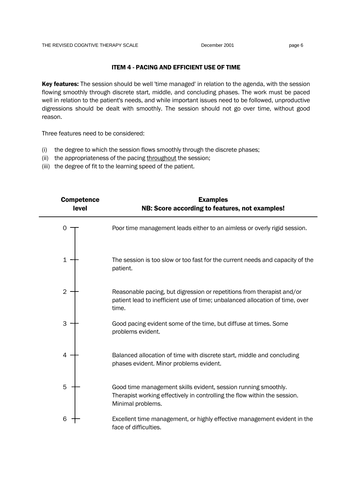#### ITEM 4 - PACING AND EFFICIENT USE OF TIME

Key features: The session should be well 'time managed' in relation to the agenda, with the session flowing smoothly through discrete start, middle, and concluding phases. The work must be paced well in relation to the patient's needs, and while important issues need to be followed, unproductive digressions should be dealt with smoothly. The session should not go over time, without good reason.

Three features need to be considered:

- (i) the degree to which the session flows smoothly through the discrete phases;
- (ii) the appropriateness of the pacing throughout the session;
- (iii) the degree of fit to the learning speed of the patient.

| <b>Competence</b><br>level | <b>Examples</b><br>NB: Score according to features, not examples!                                                                                                |
|----------------------------|------------------------------------------------------------------------------------------------------------------------------------------------------------------|
| 0                          | Poor time management leads either to an aimless or overly rigid session.                                                                                         |
| $\mathbf 1$                | The session is too slow or too fast for the current needs and capacity of the<br>patient.                                                                        |
| $\overline{2}$             | Reasonable pacing, but digression or repetitions from therapist and/or<br>patient lead to inefficient use of time; unbalanced allocation of time, over<br>time.  |
| 3                          | Good pacing evident some of the time, but diffuse at times. Some<br>problems evident.                                                                            |
| 4                          | Balanced allocation of time with discrete start, middle and concluding<br>phases evident. Minor problems evident.                                                |
| 5                          | Good time management skills evident, session running smoothly.<br>Therapist working effectively in controlling the flow within the session.<br>Minimal problems. |
| 6                          | Excellent time management, or highly effective management evident in the<br>face of difficulties.                                                                |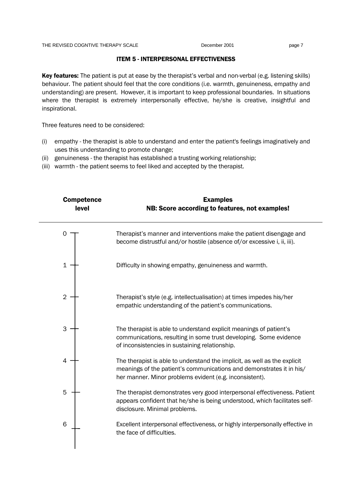ITEM 5 - INTERPERSONAL EFFECTIVENESS

Key features: The patient is put at ease by the therapist's verbal and non-verbal (e.g. listening skills) behaviour. The patient should feel that the core conditions (i.e. warmth, genuineness, empathy and understanding) are present. However, it is important to keep professional boundaries. In situations where the therapist is extremely interpersonally effective, he/she is creative, insightful and inspirational.

Three features need to be considered:

- (i) empathy the therapist is able to understand and enter the patient's feelings imaginatively and uses this understanding to promote change;
- (ii) genuineness the therapist has established a trusting working relationship;
- (iii) warmth the patient seems to feel liked and accepted by the therapist.

| <b>Competence</b><br>level | <b>Examples</b><br>NB: Score according to features, not examples!                                                                                                                                            |
|----------------------------|--------------------------------------------------------------------------------------------------------------------------------------------------------------------------------------------------------------|
| 0                          | Therapist's manner and interventions make the patient disengage and<br>become distrustful and/or hostile (absence of/or excessive i, ii, iii).                                                               |
| $\mathbf 1$                | Difficulty in showing empathy, genuineness and warmth.                                                                                                                                                       |
| $\overline{2}$             | Therapist's style (e.g. intellectualisation) at times impedes his/her<br>empathic understanding of the patient's communications.                                                                             |
| 3                          | The therapist is able to understand explicit meanings of patient's<br>communications, resulting in some trust developing. Some evidence<br>of inconsistencies in sustaining relationship.                    |
| 4                          | The therapist is able to understand the implicit, as well as the explicit<br>meanings of the patient's communications and demonstrates it in his/<br>her manner. Minor problems evident (e.g. inconsistent). |
| 5                          | The therapist demonstrates very good interpersonal effectiveness. Patient<br>appears confident that he/she is being understood, which facilitates self-<br>disclosure. Minimal problems.                     |
| 6                          | Excellent interpersonal effectiveness, or highly interpersonally effective in<br>the face of difficulties.                                                                                                   |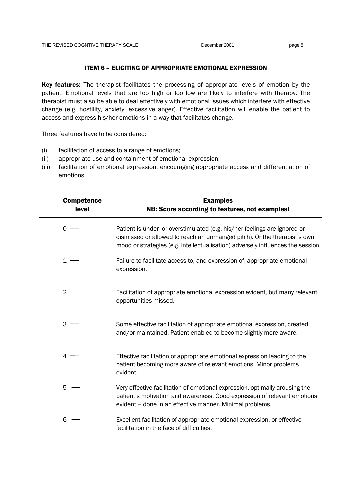#### ITEM 6 – ELICITING OF APPROPRIATE EMOTIONAL EXPRESSION

Key features: The therapist facilitates the processing of appropriate levels of emotion by the patient. Emotional levels that are too high or too low are likely to interfere with therapy. The therapist must also be able to deal effectively with emotional issues which interfere with effective change (e.g. hostility, anxiety, excessive anger). Effective facilitation will enable the patient to access and express his/her emotions in a way that facilitates change.

Three features have to be considered:

- (i) facilitation of access to a range of emotions;
- (ii) appropriate use and containment of emotional expression;
- (iii) facilitation of emotional expression, encouraging appropriate access and differentiation of emotions.

|                | <b>Competence</b><br>level | <b>Examples</b><br>NB: Score according to features, not examples!                                                                                                                                                                        |
|----------------|----------------------------|------------------------------------------------------------------------------------------------------------------------------------------------------------------------------------------------------------------------------------------|
| 0              |                            | Patient is under- or overstimulated (e.g. his/her feelings are ignored or<br>dismissed or allowed to reach an unmanged pitch). Or the therapist's own<br>mood or strategies (e.g. intellectualisation) adversely influences the session. |
| 1              |                            | Failure to facilitate access to, and expression of, appropriate emotional<br>expression.                                                                                                                                                 |
| $\overline{2}$ |                            | Facilitation of appropriate emotional expression evident, but many relevant<br>opportunities missed.                                                                                                                                     |
| 3              |                            | Some effective facilitation of appropriate emotional expression, created<br>and/or maintained. Patient enabled to become slightly more aware.                                                                                            |
| 4              |                            | Effective facilitation of appropriate emotional expression leading to the<br>patient becoming more aware of relevant emotions. Minor problems<br>evident.                                                                                |
| 5              |                            | Very effective facilitation of emotional expression, optimally arousing the<br>patient's motivation and awareness. Good expression of relevant emotions<br>evident - done in an effective manner. Minimal problems.                      |
| 6              |                            | Excellent facilitation of appropriate emotional expression, or effective<br>facilitation in the face of difficulties.                                                                                                                    |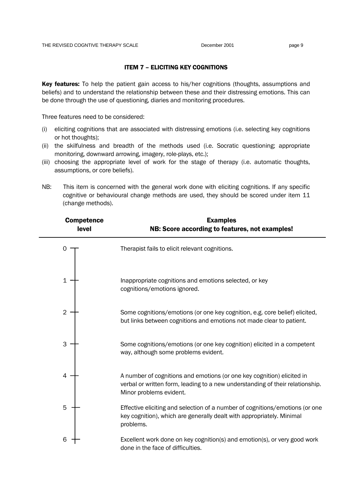Examples

### ITEM 7 – ELICITING KEY COGNITIONS

**Key features:** To help the patient gain access to his/her cognitions (thoughts, assumptions and beliefs) and to understand the relationship between these and their distressing emotions. This can be done through the use of questioning, diaries and monitoring procedures.

Three features need to be considered:

Competence

- (i) eliciting cognitions that are associated with distressing emotions (i.e. selecting key cognitions or hot thoughts);
- (ii) the skilfulness and breadth of the methods used (i.e. Socratic questioning; appropriate monitoring, downward arrowing, imagery, role-plays, etc.);
- (iii) choosing the appropriate level of work for the stage of therapy (i.e. automatic thoughts, assumptions, or core beliefs).
- NB: This item is concerned with the general work done with eliciting cognitions. If any specific cognitive or behavioural change methods are used, they should be scored under item 11 (change methods).

| competence<br>level | examples<br>NB: Score according to features, not examples!                                                                                                                         |
|---------------------|------------------------------------------------------------------------------------------------------------------------------------------------------------------------------------|
|                     | Therapist fails to elicit relevant cognitions.                                                                                                                                     |
|                     | Inappropriate cognitions and emotions selected, or key<br>cognitions/emotions ignored.                                                                                             |
| $\overline{2}$      | Some cognitions/emotions (or one key cognition, e.g. core belief) elicited,<br>but links between cognitions and emotions not made clear to patient.                                |
| 3                   | Some cognitions/emotions (or one key cognition) elicited in a competent<br>way, although some problems evident.                                                                    |
| 4                   | A number of cognitions and emotions (or one key cognition) elicited in<br>verbal or written form, leading to a new understanding of their relationship.<br>Minor problems evident. |
| 5                   | Effective eliciting and selection of a number of cognitions/emotions (or one<br>key cognition), which are generally dealt with appropriately. Minimal<br>problems.                 |
| 6                   | Excellent work done on key cognition(s) and emotion(s), or very good work<br>done in the face of difficulties.                                                                     |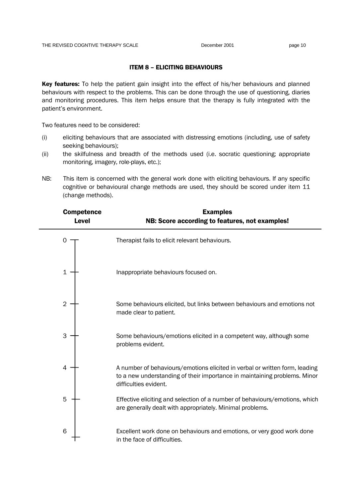Examples

#### ITEM 8 – ELICITING BEHAVIOURS

Key features: To help the patient gain insight into the effect of his/her behaviours and planned behaviours with respect to the problems. This can be done through the use of questioning, diaries and monitoring procedures. This item helps ensure that the therapy is fully integrated with the patient's environment.

Two features need to be considered:

**Competence** 

- (i) eliciting behaviours that are associated with distressing emotions (including, use of safety seeking behaviours);
- (ii) the skilfulness and breadth of the methods used (i.e. socratic questioning; appropriate monitoring, imagery, role-plays, etc.);
- NB: This item is concerned with the general work done with eliciting behaviours. If any specific cognitive or behavioural change methods are used, they should be scored under item 11 (change methods).

| <b>Level</b>   | NB: Score according to features, not examples!                                                                                                                                    |
|----------------|-----------------------------------------------------------------------------------------------------------------------------------------------------------------------------------|
| 0              | Therapist fails to elicit relevant behaviours.                                                                                                                                    |
| 1              | Inappropriate behaviours focused on.                                                                                                                                              |
| $\overline{2}$ | Some behaviours elicited, but links between behaviours and emotions not<br>made clear to patient.                                                                                 |
| 3              | Some behaviours/emotions elicited in a competent way, although some<br>problems evident.                                                                                          |
| 4              | A number of behaviours/emotions elicited in verbal or written form, leading<br>to a new understanding of their importance in maintaining problems. Minor<br>difficulties evident. |
| 5              | Effective eliciting and selection of a number of behaviours/emotions, which<br>are generally dealt with appropriately. Minimal problems.                                          |
| 6              | Excellent work done on behaviours and emotions, or very good work done<br>in the face of difficulties.                                                                            |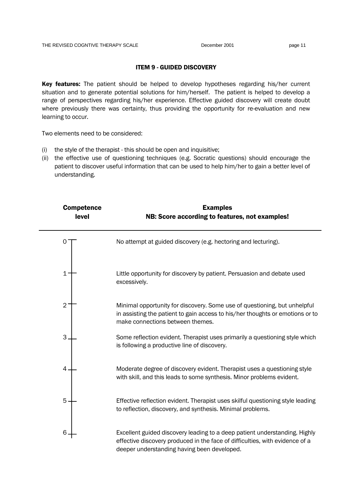#### ITEM 9 - GUIDED DISCOVERY

Key features: The patient should be helped to develop hypotheses regarding his/her current situation and to generate potential solutions for him/herself. The patient is helped to develop a range of perspectives regarding his/her experience. Effective guided discovery will create doubt where previously there was certainty, thus providing the opportunity for re-evaluation and new learning to occur.

Two elements need to be considered:

- (i) the style of the therapist this should be open and inquisitive;
- (ii) the effective use of questioning techniques (e.g. Socratic questions) should encourage the patient to discover useful information that can be used to help him/her to gain a better level of understanding.

| <b>Competence</b><br>level | <b>Examples</b><br>NB: Score according to features, not examples!                                                                                                                                         |
|----------------------------|-----------------------------------------------------------------------------------------------------------------------------------------------------------------------------------------------------------|
| 0                          | No attempt at guided discovery (e.g. hectoring and lecturing).                                                                                                                                            |
| $\mathbf{1}$               | Little opportunity for discovery by patient. Persuasion and debate used<br>excessively.                                                                                                                   |
| $\overline{2}$             | Minimal opportunity for discovery. Some use of questioning, but unhelpful<br>in assisting the patient to gain access to his/her thoughts or emotions or to<br>make connections between themes.            |
| 3                          | Some reflection evident. Therapist uses primarily a questioning style which<br>is following a productive line of discovery.                                                                               |
| 4                          | Moderate degree of discovery evident. Therapist uses a questioning style<br>with skill, and this leads to some synthesis. Minor problems evident.                                                         |
| 5                          | Effective reflection evident. Therapist uses skilful questioning style leading<br>to reflection, discovery, and synthesis. Minimal problems.                                                              |
| 6                          | Excellent guided discovery leading to a deep patient understanding. Highly<br>effective discovery produced in the face of difficulties, with evidence of a<br>deeper understanding having been developed. |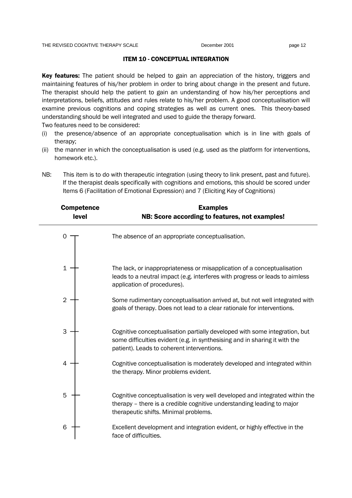#### ITEM 10 - CONCEPTUAL INTEGRATION

Key features: The patient should be helped to gain an appreciation of the history, triggers and maintaining features of his/her problem in order to bring about change in the present and future. The therapist should help the patient to gain an understanding of how his/her perceptions and interpretations, beliefs, attitudes and rules relate to his/her problem. A good conceptualisation will examine previous cognitions and coping strategies as well as current ones. This theory-based understanding should be well integrated and used to guide the therapy forward.

Two features need to be considered:

- (i) the presence/absence of an appropriate conceptualisation which is in line with goals of therapy;
- (ii) the manner in which the conceptualisation is used (e.g. used as the platform for interventions, homework etc.).
- NB: This item is to do with therapeutic integration (using theory to link present, past and future). If the therapist deals specifically with cognitions and emotions, this should be scored under Items 6 (Facilitation of Emotional Expression) and 7 (Eliciting Key of Cognitions)

| <b>Competence</b><br>level | <b>Examples</b><br>NB: Score according to features, not examples!                                                                                                                                      |
|----------------------------|--------------------------------------------------------------------------------------------------------------------------------------------------------------------------------------------------------|
| 0                          | The absence of an appropriate conceptualisation.                                                                                                                                                       |
| 1                          | The lack, or inappropriateness or misapplication of a conceptualisation<br>leads to a neutral impact (e.g. interferes with progress or leads to aimless<br>application of procedures).                 |
| $\overline{2}$             | Some rudimentary conceptualisation arrived at, but not well integrated with<br>goals of therapy. Does not lead to a clear rationale for interventions.                                                 |
| 3                          | Cognitive conceptualisation partially developed with some integration, but<br>some difficulties evident (e.g. in synthesising and in sharing it with the<br>patient). Leads to coherent interventions. |
| 4                          | Cognitive conceptualisation is moderately developed and integrated within<br>the therapy. Minor problems evident.                                                                                      |
| 5                          | Cognitive conceptualisation is very well developed and integrated within the<br>therapy - there is a credible cognitive understanding leading to major<br>therapeutic shifts. Minimal problems.        |
| 6                          | Excellent development and integration evident, or highly effective in the<br>face of difficulties.                                                                                                     |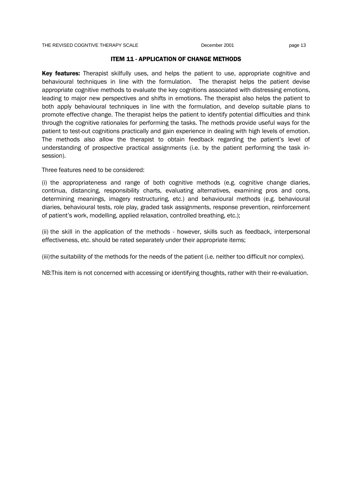**Key features:** Therapist skilfully uses, and helps the patient to use, appropriate cognitive and behavioural techniques in line with the formulation. The therapist helps the patient devise appropriate cognitive methods to evaluate the key cognitions associated with distressing emotions, leading to major new perspectives and shifts in emotions. The therapist also helps the patient to both apply behavioural techniques in line with the formulation, and develop suitable plans to promote effective change. The therapist helps the patient to identify potential difficulties and think through the cognitive rationales for performing the tasks. The methods provide useful ways for the patient to test-out cognitions practically and gain experience in dealing with high levels of emotion. The methods also allow the therapist to obtain feedback regarding the patient's level of understanding of prospective practical assignments (i.e. by the patient performing the task insession).

Three features need to be considered:

(i) the appropriateness and range of both cognitive methods (e.g. cognitive change diaries, continua, distancing, responsibility charts, evaluating alternatives, examining pros and cons, determining meanings, imagery restructuring, etc.) and behavioural methods (e.g. behavioural diaries, behavioural tests, role play, graded task assignments, response prevention, reinforcement of patient's work, modelling, applied relaxation, controlled breathing, etc.);

(ii) the skill in the application of the methods - however, skills such as feedback, interpersonal effectiveness, etc. should be rated separately under their appropriate items;

(iii)the suitability of the methods for the needs of the patient (i.e. neither too difficult nor complex).

NB:This item is not concerned with accessing or identifying thoughts, rather with their re-evaluation.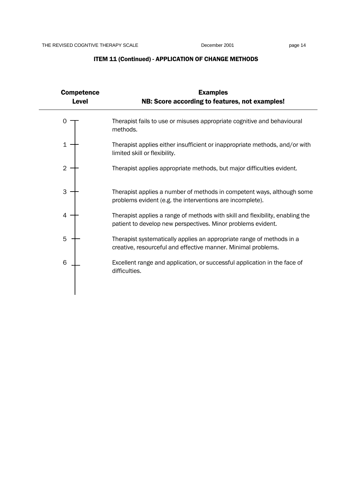#### ITEM 11 (Continued) - APPLICATION OF CHANGE METHODS

| <b>Competence</b><br>Level | <b>Examples</b><br>NB: Score according to features, not examples!                                                                             |
|----------------------------|-----------------------------------------------------------------------------------------------------------------------------------------------|
| 0                          | Therapist fails to use or misuses appropriate cognitive and behavioural<br>methods.                                                           |
| 1                          | Therapist applies either insufficient or inappropriate methods, and/or with<br>limited skill or flexibility.                                  |
| $\overline{2}$             | Therapist applies appropriate methods, but major difficulties evident.                                                                        |
| 3                          | Therapist applies a number of methods in competent ways, although some<br>problems evident (e.g. the interventions are incomplete).           |
| 4                          | Therapist applies a range of methods with skill and flexibility, enabling the<br>patient to develop new perspectives. Minor problems evident. |
| 5                          | Therapist systematically applies an appropriate range of methods in a<br>creative, resourceful and effective manner. Minimal problems.        |
| 6                          | Excellent range and application, or successful application in the face of<br>difficulties.                                                    |
|                            |                                                                                                                                               |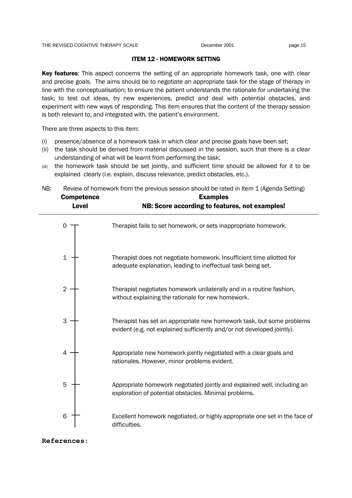#### ITEM 12 - HOMEWORK SETTING

Key features: This aspect concerns the setting of an appropriate homework task, one with clear and precise goals. The aims should be to negotiate an appropriate task for the stage of therapy in line with the conceptualisation; to ensure the patient understands the rationale for undertaking the task; to test out ideas, try new experiences, predict and deal with potential obstacles, and experiment with new ways of responding. This item ensures that the content of the therapy session is both relevant to, and integrated with, the patient's environment.

There are three aspects to this item:

- (i) presence/absence of a homework task in which clear and precise goals have been set;
- (ii) the task should be derived from material discussed in the session, such that there is a clear understanding of what will be learnt from performing the task;
- (iii) the homework task should be set jointly, and sufficient time should be allowed for it to be explained clearly (i.e. explain, discuss relevance, predict obstacles, etc.).
- NB: Review of homework from the previous session should be rated in Item 1 (Agenda Setting) Competence Examples



**References:**